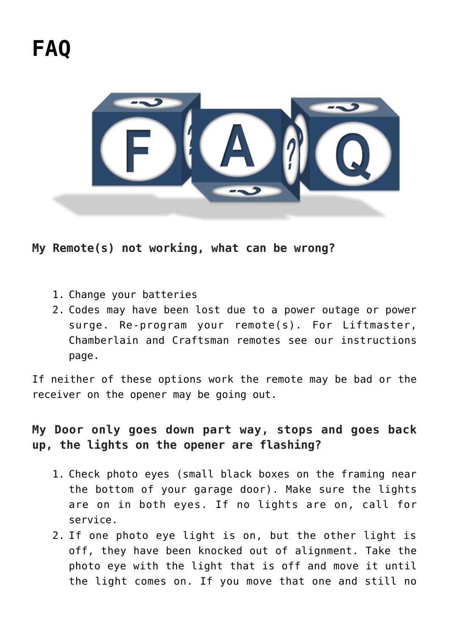

**My Remote(s) not working, what can be wrong?**

- 1. Change your batteries
- 2. Codes may have been lost due to a power outage or power surge. Re-program your remote(s). For Liftmaster, Chamberlain and Craftsman remotes see our instructions page.

If neither of these options work the remote may be bad or the receiver on the opener may be going out.

# **My Door only goes down part way, stops and goes back up, the lights on the opener are flashing?**

- 1. Check photo eyes (small black boxes on the framing near the bottom of your garage door). Make sure the lights are on in both eyes. If no lights are on, call for service.
- 2. If one photo eye light is on, but the other light is off, they have been knocked out of alignment. Take the photo eye with the light that is off and move it until the light comes on. If you move that one and still no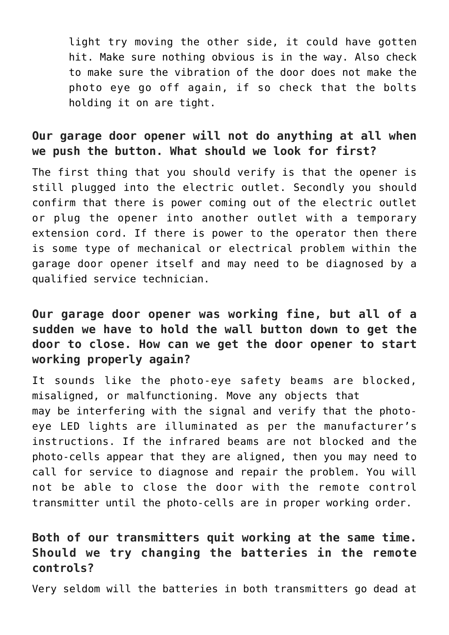light try moving the other side, it could have gotten hit. Make sure nothing obvious is in the way. Also check to make sure the vibration of the door does not make the photo eye go off again, if so check that the bolts holding it on are tight.

## **Our garage door opener will not do anything at all when we push the button. What should we look for first?**

The first thing that you should verify is that the opener is still plugged into the electric outlet. Secondly you should confirm that there is power coming out of the electric outlet or plug the opener into another outlet with a temporary extension cord. If there is power to the operator then there is some type of mechanical or electrical problem within the garage door opener itself and may need to be diagnosed by a qualified service technician.

# **Our garage door opener was working fine, but all of a sudden we have to hold the wall button down to get the door to close. How can we get the door opener to start working properly again?**

It sounds like the photo-eye safety beams are blocked, misaligned, or malfunctioning. Move any objects that may be interfering with the signal and verify that the photoeye LED lights are illuminated as per the manufacturer's instructions. If the infrared beams are not blocked and the photo-cells appear that they are aligned, then you may need to call for service to diagnose and repair the problem. You will not be able to close the door with the remote control transmitter until the photo-cells are in proper working order.

# **Both of our transmitters quit working at the same time. Should we try changing the batteries in the remote controls?**

Very seldom will the batteries in both transmitters go dead at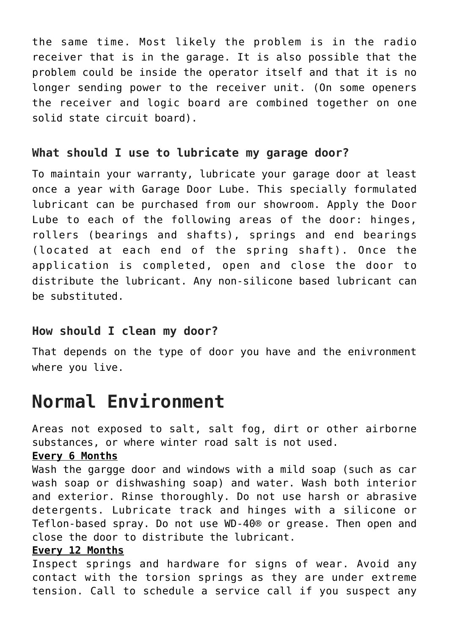the same time. Most likely the problem is in the radio receiver that is in the garage. It is also possible that the problem could be inside the operator itself and that it is no longer sending power to the receiver unit. (On some openers the receiver and logic board are combined together on one solid state circuit board).

#### **What should I use to lubricate my garage door?**

To maintain your warranty, lubricate your garage door at least once a year with Garage Door Lube. This specially formulated lubricant can be purchased from our showroom. Apply the Door Lube to each of the following areas of the door: hinges, rollers (bearings and shafts), springs and end bearings (located at each end of the spring shaft). Once the application is completed, open and close the door to distribute the lubricant. Any non-silicone based lubricant can be substituted.

## **How should I clean my door?**

That depends on the type of door you have and the enivronment where you live.

# **Normal Environment**

Areas not exposed to salt, salt fog, dirt or other airborne substances, or where winter road salt is not used.

#### **Every 6 Months**

Wash the gargge door and windows with a mild soap (such as car wash soap or dishwashing soap) and water. Wash both interior and exterior. Rinse thoroughly. Do not use harsh or abrasive detergents. Lubricate track and hinges with a silicone or Teflon-based spray. Do not use WD-40® or grease. Then open and close the door to distribute the lubricant.

#### **Every 12 Months**

Inspect springs and hardware for signs of wear. Avoid any contact with the torsion springs as they are under extreme tension. Call to schedule a service call if you suspect any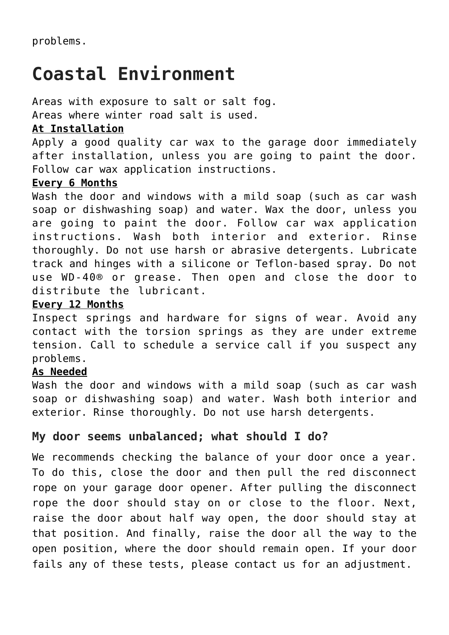# **Coastal Environment**

Areas with exposure to salt or salt fog.

Areas where winter road salt is used.

#### **At Installation**

Apply a good quality car wax to the garage door immediately after installation, unless you are going to paint the door. Follow car wax application instructions.

#### **Every 6 Months**

Wash the door and windows with a mild soap (such as car wash soap or dishwashing soap) and water. Wax the door, unless you are going to paint the door. Follow car wax application instructions. Wash both interior and exterior. Rinse thoroughly. Do not use harsh or abrasive detergents. Lubricate track and hinges with a silicone or Teflon-based spray. Do not use WD-40® or grease. Then open and close the door to distribute the lubricant.

#### **Every 12 Months**

Inspect springs and hardware for signs of wear. Avoid any contact with the torsion springs as they are under extreme tension. Call to schedule a service call if you suspect any problems.

#### **As Needed**

Wash the door and windows with a mild soap (such as car wash soap or dishwashing soap) and water. Wash both interior and exterior. Rinse thoroughly. Do not use harsh detergents.

## **My door seems unbalanced; what should I do?**

We recommends checking the balance of your door once a year. To do this, close the door and then pull the red disconnect rope on your garage door opener. After pulling the disconnect rope the door should stay on or close to the floor. Next, raise the door about half way open, the door should stay at that position. And finally, raise the door all the way to the open position, where the door should remain open. If your door fails any of these tests, please contact us for an adjustment.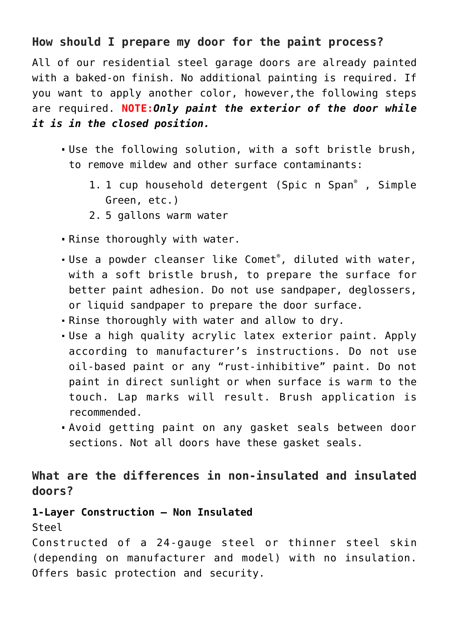## **How should I prepare my door for the paint process?**

All of our residential steel garage doors are already painted with a baked-on finish. No additional painting is required. If you want to apply another color, however,the following steps are required. **NOTE:***Only paint the exterior of the door while it is in the closed position.*

- Use the following solution, with a soft bristle brush, to remove mildew and other surface contaminants:
	- 1. 1 cup household detergent (Spic n Span®, Simple Green, etc.)
	- 2. 5 gallons warm water
- . Rinse thoroughly with water.
- Use a powder cleanser like Comet® , diluted with water, with a soft bristle brush, to prepare the surface for better paint adhesion. Do not use sandpaper, deglossers, or liquid sandpaper to prepare the door surface.
- Rinse thoroughly with water and allow to dry.
- Use a high quality acrylic latex exterior paint. Apply according to manufacturer's instructions. Do not use oil-based paint or any "rust-inhibitive" paint. Do not paint in direct sunlight or when surface is warm to the touch. Lap marks will result. Brush application is recommended.
- Avoid getting paint on any gasket seals between door sections. Not all doors have these gasket seals.

# **What are the differences in non-insulated and insulated doors?**

#### **1-Layer Construction – Non Insulated**

Steel

Constructed of a 24-gauge steel or thinner steel skin (depending on manufacturer and model) with no insulation. Offers basic protection and security.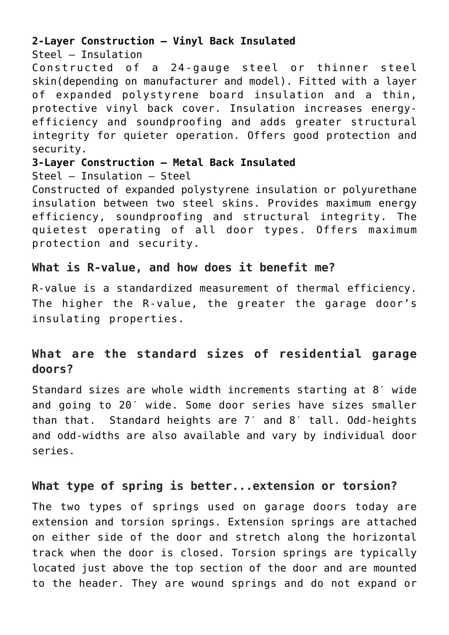#### **2-Layer Construction – Vinyl Back Insulated**

Steel – Insulation

Constructed of a 24-gauge steel or thinner steel skin(depending on manufacturer and model). Fitted with a layer of expanded polystyrene board insulation and a thin, protective vinyl back cover. Insulation increases energyefficiency and soundproofing and adds greater structural integrity for quieter operation. Offers good protection and security.

**3-Layer Construction – Metal Back Insulated**

Steel – Insulation – Steel

Constructed of expanded polystyrene insulation or polyurethane insulation between two steel skins. Provides maximum energy efficiency, soundproofing and structural integrity. The quietest operating of all door types. Offers maximum protection and security.

## **What is R-value, and how does it benefit me?**

R-value is a standardized measurement of thermal efficiency. The higher the R-value, the greater the garage door's insulating properties.

# **What are the standard sizes of residential garage doors?**

Standard sizes are whole width increments starting at 8′ wide and going to 20′ wide. Some door series have sizes smaller than that. Standard heights are 7′ and 8′ tall. Odd-heights and odd-widths are also available and vary by individual door series.

## **What type of spring is better...extension or torsion?**

The two types of springs used on garage doors today are extension and torsion springs. Extension springs are attached on either side of the door and stretch along the horizontal track when the door is closed. Torsion springs are typically located just above the top section of the door and are mounted to the header. They are wound springs and do not expand or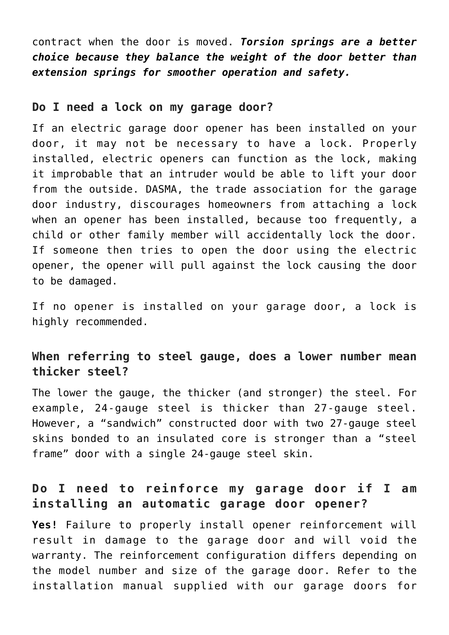contract when the door is moved. *Torsion springs are a better choice because they balance the weight of the door better than extension springs for smoother operation and safety.*

#### **Do I need a lock on my garage door?**

If an electric garage door opener has been installed on your door, it may not be necessary to have a lock. Properly installed, electric openers can function as the lock, making it improbable that an intruder would be able to lift your door from the outside. DASMA, the trade association for the garage door industry, discourages homeowners from attaching a lock when an opener has been installed, because too frequently, a child or other family member will accidentally lock the door. If someone then tries to open the door using the electric opener, the opener will pull against the lock causing the door to be damaged.

If no opener is installed on your garage door, a lock is highly recommended.

## **When referring to steel gauge, does a lower number mean thicker steel?**

The lower the gauge, the thicker (and stronger) the steel. For example, 24-gauge steel is thicker than 27-gauge steel. However, a "sandwich" constructed door with two 27-gauge steel skins bonded to an insulated core is stronger than a "steel frame" door with a single 24-gauge steel skin.

## **Do I need to reinforce my garage door if I am installing an automatic garage door opener?**

**Yes!** Failure to properly install opener reinforcement will result in damage to the garage door and will void the warranty. The reinforcement configuration differs depending on the model number and size of the garage door. Refer to the installation manual supplied with our garage doors for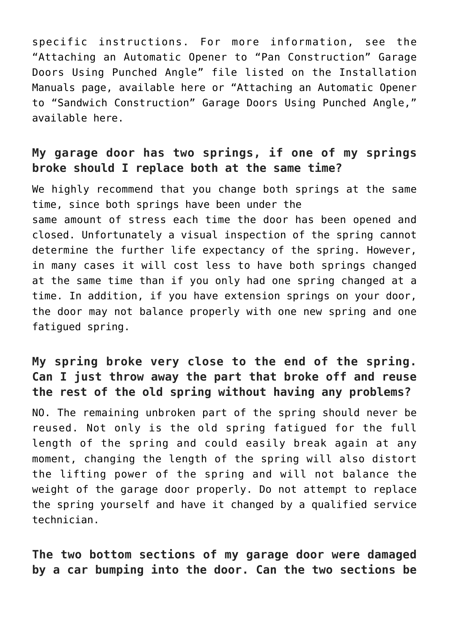specific instructions. For more information, see the "Attaching an Automatic Opener to "Pan Construction" Garage Doors Using Punched Angle" file listed on the Installation Manuals page, available here or "Attaching an Automatic Opener to "Sandwich Construction" Garage Doors Using Punched Angle," available here.

## **My garage door has two springs, if one of my springs broke should I replace both at the same time?**

We highly recommend that you change both springs at the same time, since both springs have been under the same amount of stress each time the door has been opened and closed. Unfortunately a visual inspection of the spring cannot determine the further life expectancy of the spring. However, in many cases it will cost less to have both springs changed at the same time than if you only had one spring changed at a time. In addition, if you have extension springs on your door, the door may not balance properly with one new spring and one fatigued spring.

# **My spring broke very close to the end of the spring. Can I just throw away the part that broke off and reuse the rest of the old spring without having any problems?**

NO. The remaining unbroken part of the spring should never be reused. Not only is the old spring fatigued for the full length of the spring and could easily break again at any moment, changing the length of the spring will also distort the lifting power of the spring and will not balance the weight of the garage door properly. Do not attempt to replace the spring yourself and have it changed by a qualified service technician.

**The two bottom sections of my garage door were damaged by a car bumping into the door. Can the two sections be**